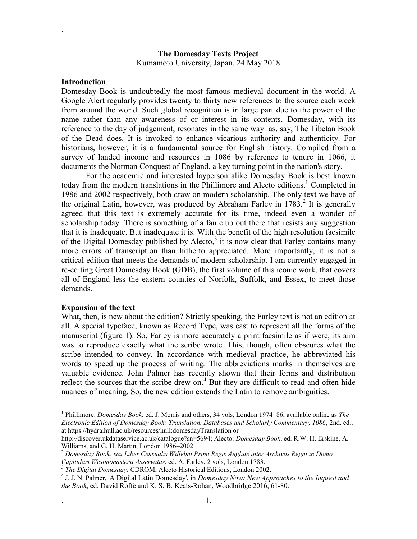# **The Domesday Texts Project**

Kumamoto University, Japan, 24 May 2018

#### **Introduction**

.

Domesday Book is undoubtedly the most famous medieval document in the world. A Google Alert regularly provides twenty to thirty new references to the source each week from around the world. Such global recognition is in large part due to the power of the name rather than any awareness of or interest in its contents. Domesday, with its reference to the day of judgement, resonates in the same way as, say, The Tibetan Book of the Dead does. It is invoked to enhance vicarious authority and authenticity. For historians, however, it is a fundamental source for English history. Compiled from a survey of landed income and resources in 1086 by reference to tenure in 1066, it documents the Norman Conquest of England, a key turning point in the nation's story.

For the academic and interested layperson alike Domesday Book is best known today from the modern translations in the Phillimore and Alecto editions. <sup>1</sup> Completed in 1986 and 2002 respectively, both draw on modern scholarship. The only text we have of the original Latin, however, was produced by Abraham Farley in  $1783$ <sup>2</sup>. It is generally agreed that this text is extremely accurate for its time, indeed even a wonder of scholarship today. There is something of a fan club out there that resists any suggestion that it is inadequate. But inadequate it is. With the benefit of the high resolution facsimile of the Digital Domesday published by Alecto, $3$  it is now clear that Farley contains many more errors of transcription than hitherto appreciated. More importantly, it is not a critical edition that meets the demands of modern scholarship. I am currently engaged in re-editing Great Domesday Book (GDB), the first volume of this iconic work, that covers all of England less the eastern counties of Norfolk, Suffolk, and Essex, to meet those demands.

### **Expansion of the text**

 $\overline{a}$ 

What, then, is new about the edition? Strictly speaking, the Farley text is not an edition at all. A special typeface, known as Record Type, was cast to represent all the forms of the manuscript (figure 1). So, Farley is more accurately a print facsimile as if were; its aim was to reproduce exactly what the scribe wrote. This, though, often obscures what the scribe intended to convey. In accordance with medieval practice, he abbreviated his words to speed up the process of writing*.* The abbreviations marks in themselves are valuable evidence. John Palmer has recently shown that their forms and distribution reflect the sources that the scribe drew on.<sup>4</sup> But they are difficult to read and often hide nuances of meaning. So, the new edition extends the Latin to remove ambiguities.

<sup>1</sup> Phillimore: *Domesday Book*, ed. J. Morris and others, 34 vols, London 1974–86, available online as *The Electronic Edition of Domesday Book: Translation, Databases and Scholarly Commentary, 1086*, 2nd. ed., at https://hydra.hull.ac.uk/resources/hull:domesdayTranslation or

http://discover.ukdataservice.ac.uk/catalogue?sn=5694; Alecto: *Domesday Book*, ed. R.W. H. Erskine, A. Williams, and G. H. Martin, London 1986–2002.

<sup>2</sup> *Domesday Book; seu Liber Censualis Willelmi Primi Regis Angliae inter Archivos Regni in Domo Capitulari Westmonasterii Asservatus*, ed. A. Farley, 2 vols, London 1783.

<sup>3</sup> *The Digital Domesday*, CDROM, Alecto Historical Editions, London 2002.

<sup>4</sup> J. J. N. Palmer, 'A Digital Latin Domesday', in *Domesday Now: New Approaches to the Inquest and the Book*, ed. David Roffe and K. S. B. Keats-Rohan, Woodbridge 2016, 61-80.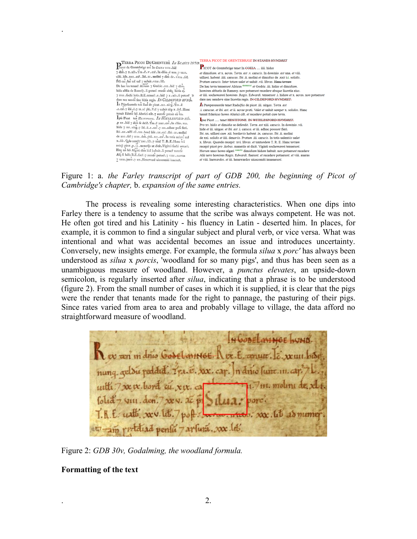| TERRA PICOT DE GRENTEBR IN STANES HEND                                                                    | TERRA PICOT DE GRENTEBRIGE EN STANES HVNDRET                                                                                                      |
|-----------------------------------------------------------------------------------------------------------|---------------------------------------------------------------------------------------------------------------------------------------------------|
| 11cor de Grentebrige ten In CoE1A 1111. hid                                                               | PICOT de Grentebrige tenet In COEIA  iiii. hidas                                                                                                  |
| 7 dim .7 x . acs . Tra . e . v . car . In diiio . e una .7 v111.                                          | et dimidiam, et x, acras. Terra, est y, carucis. In dominio, est una, et viii.                                                                    |
| uilli. hnt. 1111. car. Ibi. 11. molini 7 dim de. xx11. fol.                                               | uillami, habent, iiii, carucas. Ibi, ii, molini et dimidius de .xxti i-i, solidis.                                                                |
| Ptü car. Int tot ual 7 ualuit. vt11. lib.                                                                 | Pratum carnets. Inter totum nalet et naluit vii. libras. Hane terram                                                                              |
| De hac tra tenuer Alricus 7 Godric . 111 . hid 7 dim.                                                     | De hac terra tenuerunt Alricus monacus et Godric .iii. hidas et dimidiam.                                                                         |
| hões abbis de Ramefy . h potuci recede abfq. lictia ej.                                                   | homines abbatis de Ramesy. non potuerunt recedere absque licentia eius.                                                                           |
| 7 1111.fochi hocs.R.E.tenuer.1.hid 7 x.acs.n potuer >                                                     | et iiii. sochemanni homines .Regis. Edwardi. tenuerunt .i. hidam et x. acras. non potuerun                                                        |
| dare nee uende fine lictia regis. IN CILDEFORD HVND.                                                      | dare nec uendere sine licentia regis. IN CILDEFORD HVNDRET.                                                                                       |
| In Papefuuorde ten Rad de picot . 111 . uirg . Tra . ë                                                    | In Pampesuuorde tenet Radulfus de picot .iii. uirgas. Terra .est                                                                                  |
| .1.car.7 ibi. e.7 11.ac pti. Val 7 ualuit sep x.fol. Hanc                                                 | .i. carucae. et ibi .est. et ii. acrae prati. Valet et ualuit semper x. solidos. Hanc                                                             |
| tenuit Ederic ho Alurici cilt.7 recede potuit cu tra.                                                     | tenuit Edericus homo Alurici cilt. et recedere potuit cum terra.                                                                                  |
| Ipfe Picot ten HESTITONE. IN WITELESFORD HD.                                                              | Ipse Picot  tenet HESTITONE. IN WITELESFORD HIMDRET.                                                                                              |
| p xv. hid 7 dim fe defd. Tra. ë x111. car. In dhio. v11.                                                  | Pro xv. hidis et dimidia se defendit. Terra .est xiii. carucis. In dominio .vii.                                                                  |
| hide 7 III . uirg .7 ibi . ë. 1 . car .7 III . adhuc pofs fieri.                                          | hide et iii. uirgae. et ibi .est .i. caruca. et iii. adhuc possunt fieri.                                                                         |
| lbi.xx.uilli cu.x11.bord hiit.xx.cař.lbi.11.molini                                                        | Ibi .xx. uillani cum .xii. bordariis habent .ix. carucas. Ibi .ii. molini                                                                         |
| de xx1.fol 7 1111.den. ptu. 111.car. In totis ualent ual                                                  | de xxi, solidis et iiii, denariis, Pratum, iii, carucis. In totis ualentiis ualet                                                                 |
| x.lib. Qdo recep: xv1.lib.7 tntd T.R.E. Hanc tra                                                          | x. libras. Quando recepit: xvi. libras. et tantundem T. R. E. Hanc terram                                                                         |
| recep picot p. 11. manerijs ut dicit. Viginti fochi tenuci.                                               | recepit picot pro .iiobus. maneriis ut dicit. Viginti sochemanni tenuerunt.                                                                       |
| Hoz un ho Algari dim hid habuit. ii potuer recede                                                         | Horum unus homo algari comitis dimidiam hidam habuit, non potuerunt recedere                                                                      |
| Alij ů hoes R.E.fuer.7 recede potuer.7 VIII. aueras<br>7 VIII - inew . 7 111. Heneward nicroomiti imposer | Alii uero homines Regis. Edwardi. fuerunt. et recedere potuerunt. et viii. aueras<br>at viii. Inewardos, at iii, benewardos nicecomiti innenerunt |
|                                                                                                           |                                                                                                                                                   |

Figure 1: a. *the Farley transcript of part of GDB 200, the beginning of Picot of Cambridge's chapter,* b. *expansion of the same entries.*

The process is revealing some interesting characteristics. When one dips into Farley there is a tendency to assume that the scribe was always competent. He was not. He often got tired and his Latinity - his fluency in Latin - deserted him. In places, for example, it is common to find a singular subject and plural verb, or vice versa. What was intentional and what was accidental becomes an issue and introduces uncertainty. Conversely, new insights emerge. For example, the formula *silua* x *porc'* has always been understood as *silua* x *porcis*, 'woodland for so many pigs', and thus has been seen as a unambiguous measure of woodland. However, a *punctus elevates*, an upside-down semicolon, is regularly inserted after *silua*, indicating that a phrase is to be understood (figure 2). From the small number of cases in which it is supplied, it is clear that the pigs were the render that tenants made for the right to pannage, the pasturing of their pigs. Since rates varied from area to area and probably village to village, the data afford no straightforward measure of woodland.

HOONEL MINGE NUND Lev x in drue Gode Lannes. Lex. E. cenure. E. x un bise nung geldu reddid. 7 ra. é. XX. cap. n dnio sunt.in. ca with 7 xx x bord cu. xix. co  $1.7$  111. mount de x folid 7 viii. den.  $7x - 3c - 8$  $\frac{1}{2}$ .  $\frac{1}{2}$   $\frac{1}{2}$   $\frac{1}{2}$   $\frac{1}{2}$   $\frac{1}{2}$   $\frac{1}{2}$   $\frac{1}{2}$ et am rediad pensu 7 arlura. xx.lot.

Figure 2: *GDB 30v, Godalming, the woodland formula.* 

#### **Formatting of the text**

.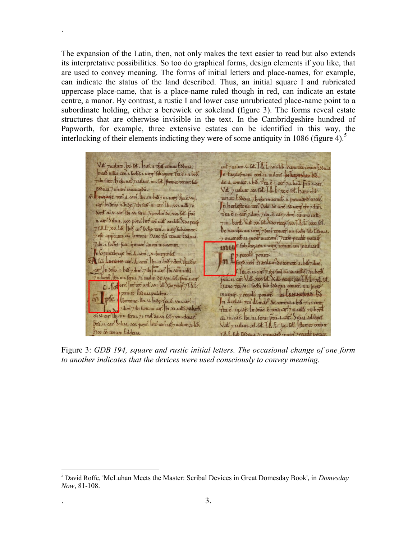The expansion of the Latin, then, not only makes the text easier to read but also extends its interpretative possibilities. So too do graphical forms, design elements if you like, that are used to convey meaning. The forms of initial letters and place-names, for example, can indicate the status of the land described. Thus, an initial square I and rubricated uppercase place-name, that is a place-name ruled though in red, can indicate an estate centre, a manor. By contrast, a rustic I and lower case unrubricated place-name point to a subordinate holding, either a berewick or sokeland (figure 3). The forms reveal estate structures that are otherwise invisible in the text. In the Cambridgeshire hundred of Papworth, for example, three extensive estates can be identified in this way, the interlocking of their elements indicting they were of some antiquity in 1086 (figure 4).<sup>5</sup>

.

 $\overline{a}$ 

Vat justum. b. Ot. har. 11. gal renum todeus. ust rusture. C. B.t. I. L. villet. banc one conun fasous n est uilla ten.t. fochf.1. ung' fut comme Trace.un bob. In fugelefman went in milar is hepes lay by 7 ibi fune. 15 oja uat 7 ualum ...... [ot. Premec renum fub de 4 commo 1. bo 172 e.1. car? 7u. bou. pai. 1. car? Essaia.7 inuen incuitardu. Vat 7 ualum 20. fot. I. L. 200 fot. banc of a 5 11 11 10 ye an 1. com. b1 . 11 h 8 7 11. un Trac. vm. cenux Esseur 7h fa muemet. 11. meurard uree. cap? In Snito.it. hose.7 the furt. in. cap? Ibe xvi. with 7v. In herleftone cen Odo Se com . V. ung tre 7 dim. bord cu.v. car? Ibi.v. feru. 7 ymolin'de xvi fot. pai Trace.1. car 7 dim. 7 ibi. e. car 7 dim. cu uno unto 11. car! Silua. por. pore. Int we ust x11. lib. Xoo recep. 7111. bord. Vat xx. lot x so recept xx. I. A. f. xxx. lot. 77.R.E. x0. lib. bis un locks ven. uurg subcomme. De bae da. un urg 7 du renner un foche fub Eddeut. et appeara cu limone. Danc qu cenur Esseus. 7 inuenido u press meccom? 7 cam recede pourer. 7 ibi. 1. sochs futt. q invent dueja incecomita. mur fut Organo. 1. ung conun. un pranuard In Grentebrige be. A. com. x. burgenfel. n En recaté poarce.<br>n Espo cen hardum de comme 1. ba 7 dim. Ma Lurroue cen. d. com. Ibi. 11. bio 7 dum. Trave v.  $\frac{1}{2}$  or  $\frac{1}{2}$  h  $\frac{1}{2}$  h  $\frac{1}{2}$  h  $\frac{1}{2}$  d m<sup>3</sup>  $\frac{1}{2}$  ths  $\frac{1}{2}$  th  $\frac{1}{2}$  function  $\frac{1}{2}$  b  $\frac{1}{2}$  .  $\frac{1}{2}$  function  $\frac{1}{2}$  function  $\frac{1}{2}$  function  $\frac{1}{2}$  function  $\frac{1}{2}$ Tra. e. 11. car 7 1bi furt cu. v. until 7n. bors. 711. bord, b1. 1111. ferut. 71. molin So Nut. fol. pai 1.047. pai. n. car. Vat. cox. fot. X do recept por. I. I. for al. fot. C. Totorc. me we wat will be too recept / LR.E. hance tra. G. Sochi ful Essena renuer un Inox renute Esseurpulchra. muency. 7 recede power. IN EXHINGTORD Bo ple domane lb. v. biog. 7/2. é. v.u. car. In Acelai. ten Almar Se comme 1. bis 7111. un dum 7 dum 7 de sure un cap bi-xi unti 74 bord. Trace. in car. In driv. E una car. 7 11. uit 70. bord ai N. car. Ibirun ferun 71. mot se su. fot 7 vin deny. cu. 11. car. Ibi. 11. feru. pai. 1. car. Silua ad fepet. pai.u. car? Islace. porce Incordinat partner or lab. Vat 7 unlutt. xl. [d. ] h. f. L. Cot. Hemec centuit so as renun Eddeua. T.A.E. fub Esseus. 71. meuriard muer? Trecede poam

Figure 3: *GDB 194, square and rustic initial letters. The occasional change of one form to another indicates that the devices were used consciously to convey meaning.* 

<sup>5</sup> David Roffe, 'McLuhan Meets the Master: Scribal Devices in Great Domesday Book', in *Domesday Now*, 81-108.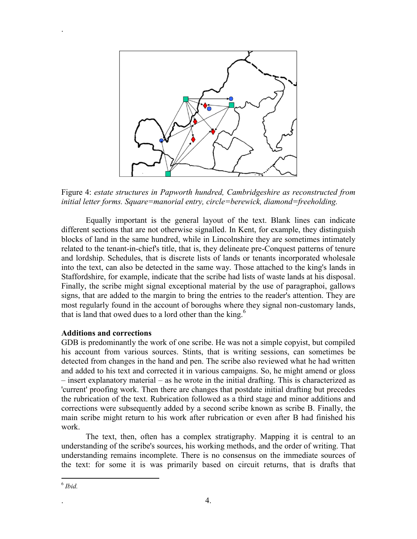

Figure 4: *estate structures in Papworth hundred, Cambridgeshire as reconstructed from initial letter forms. Square=manorial entry, circle=berewick, diamond=freeholding.*

Equally important is the general layout of the text. Blank lines can indicate different sections that are not otherwise signalled. In Kent, for example, they distinguish blocks of land in the same hundred, while in Lincolnshire they are sometimes intimately related to the tenant-in-chief's title, that is, they delineate pre-Conquest patterns of tenure and lordship. Schedules, that is discrete lists of lands or tenants incorporated wholesale into the text, can also be detected in the same way. Those attached to the king's lands in Staffordshire, for example, indicate that the scribe had lists of waste lands at his disposal. Finally, the scribe might signal exceptional material by the use of paragraphoi, gallows signs, that are added to the margin to bring the entries to the reader's attention. They are most regularly found in the account of boroughs where they signal non-customary lands, that is land that owed dues to a lord other than the king.<sup>6</sup>

### **Additions and corrections**

GDB is predominantly the work of one scribe. He was not a simple copyist, but compiled his account from various sources. Stints, that is writing sessions, can sometimes be detected from changes in the hand and pen. The scribe also reviewed what he had written and added to his text and corrected it in various campaigns. So, he might amend or gloss – insert explanatory material – as he wrote in the initial drafting. This is characterized as 'current' proofing work. Then there are changes that postdate initial drafting but precedes the rubrication of the text. Rubrication followed as a third stage and minor additions and corrections were subsequently added by a second scribe known as scribe B. Finally, the main scribe might return to his work after rubrication or even after B had finished his work.

The text, then, often has a complex stratigraphy. Mapping it is central to an understanding of the scribe's sources, his working methods, and the order of writing. That understanding remains incomplete. There is no consensus on the immediate sources of the text: for some it is was primarily based on circuit returns, that is drafts that

 $\overline{a}$ 

.

<sup>6</sup> *Ibid.*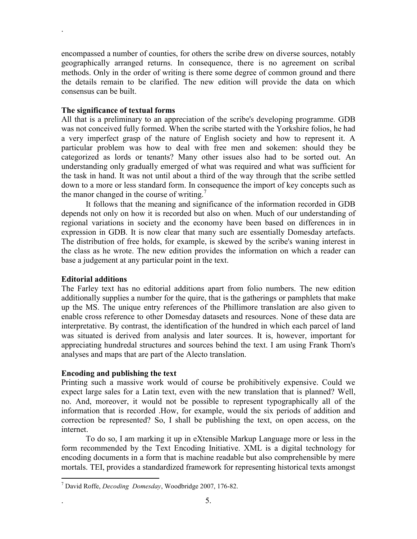encompassed a number of counties, for others the scribe drew on diverse sources, notably geographically arranged returns. In consequence, there is no agreement on scribal methods. Only in the order of writing is there some degree of common ground and there the details remain to be clarified. The new edition will provide the data on which consensus can be built.

## **The significance of textual forms**

.

All that is a preliminary to an appreciation of the scribe's developing programme. GDB was not conceived fully formed. When the scribe started with the Yorkshire folios, he had a very imperfect grasp of the nature of English society and how to represent it. A particular problem was how to deal with free men and sokemen: should they be categorized as lords or tenants? Many other issues also had to be sorted out. An understanding only gradually emerged of what was required and what was sufficient for the task in hand. It was not until about a third of the way through that the scribe settled down to a more or less standard form. In consequence the import of key concepts such as the manor changed in the course of writing.<sup>7</sup>

It follows that the meaning and significance of the information recorded in GDB depends not only on how it is recorded but also on when. Much of our understanding of regional variations in society and the economy have been based on differences in in expression in GDB. It is now clear that many such are essentially Domesday artefacts. The distribution of free holds, for example, is skewed by the scribe's waning interest in the class as he wrote. The new edition provides the information on which a reader can base a judgement at any particular point in the text.

### **Editorial additions**

 $\overline{a}$ 

The Farley text has no editorial additions apart from folio numbers. The new edition additionally supplies a number for the quire, that is the gatherings or pamphlets that make up the MS. The unique entry references of the Phillimore translation are also given to enable cross reference to other Domesday datasets and resources. None of these data are interpretative. By contrast, the identification of the hundred in which each parcel of land was situated is derived from analysis and later sources. It is, however, important for appreciating hundredal structures and sources behind the text. I am using Frank Thorn's analyses and maps that are part of the Alecto translation.

## **Encoding and publishing the text**

Printing such a massive work would of course be prohibitively expensive. Could we expect large sales for a Latin text, even with the new translation that is planned? Well, no. And, moreover, it would not be possible to represent typographically all of the information that is recorded .How, for example, would the six periods of addition and correction be represented? So, I shall be publishing the text, on open access, on the internet.

To do so, I am marking it up in eXtensible Markup Language more or less in the form recommended by the Text Encoding Initiative. XML is a digital technology for encoding documents in a form that is machine readable but also comprehensible by mere mortals. TEI, provides a standardized framework for representing historical texts amongst

<sup>7</sup> David Roffe, *Decoding Domesday*, Woodbridge 2007, 176-82.